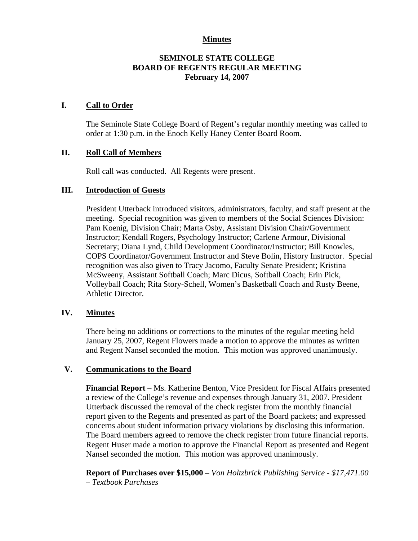# **Minutes**

# **SEMINOLE STATE COLLEGE BOARD OF REGENTS REGULAR MEETING February 14, 2007**

## **I. Call to Order**

The Seminole State College Board of Regent's regular monthly meeting was called to order at 1:30 p.m. in the Enoch Kelly Haney Center Board Room.

# **II. Roll Call of Members**

Roll call was conducted. All Regents were present.

#### **III. Introduction of Guests**

President Utterback introduced visitors, administrators, faculty, and staff present at the meeting. Special recognition was given to members of the Social Sciences Division: Pam Koenig, Division Chair; Marta Osby, Assistant Division Chair/Government Instructor; Kendall Rogers, Psychology Instructor; Carlene Armour, Divisional Secretary; Diana Lynd, Child Development Coordinator/Instructor; Bill Knowles, COPS Coordinator/Government Instructor and Steve Bolin, History Instructor. Special recognition was also given to Tracy Jacomo, Faculty Senate President; Kristina McSweeny, Assistant Softball Coach; Marc Dicus, Softball Coach; Erin Pick, Volleyball Coach; Rita Story-Schell, Women's Basketball Coach and Rusty Beene, Athletic Director.

## **IV. Minutes**

There being no additions or corrections to the minutes of the regular meeting held January 25, 2007, Regent Flowers made a motion to approve the minutes as written and Regent Nansel seconded the motion. This motion was approved unanimously.

### **V. Communications to the Board**

**Financial Report** – Ms. Katherine Benton, Vice President for Fiscal Affairs presented a review of the College's revenue and expenses through January 31, 2007. President Utterback discussed the removal of the check register from the monthly financial report given to the Regents and presented as part of the Board packets; and expressed concerns about student information privacy violations by disclosing this information. The Board members agreed to remove the check register from future financial reports. Regent Huser made a motion to approve the Financial Report as presented and Regent Nansel seconded the motion. This motion was approved unanimously.

**Report of Purchases over \$15,000** – *Von Holtzbrick Publishing Service - \$17,471.00 – Textbook Purchases*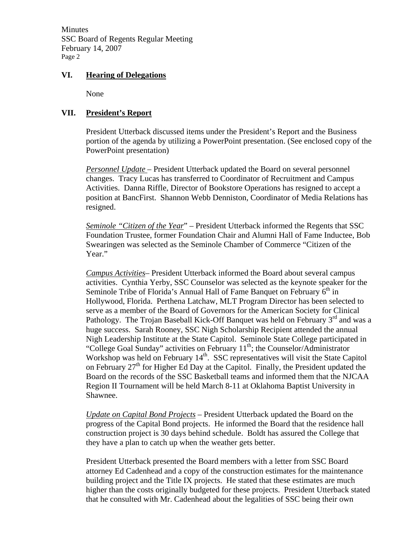Minutes SSC Board of Regents Regular Meeting February 14, 2007 Page 2

#### **VI. Hearing of Delegations**

None

## **VII. President's Report**

President Utterback discussed items under the President's Report and the Business portion of the agenda by utilizing a PowerPoint presentation. (See enclosed copy of the PowerPoint presentation)

*Personnel Update* – President Utterback updated the Board on several personnel changes. Tracy Lucas has transferred to Coordinator of Recruitment and Campus Activities. Danna Riffle, Director of Bookstore Operations has resigned to accept a position at BancFirst. Shannon Webb Denniston, Coordinator of Media Relations has resigned.

*Seminole "Citizen of the Year*" – President Utterback informed the Regents that SSC Foundation Trustee, former Foundation Chair and Alumni Hall of Fame Inductee, Bob Swearingen was selected as the Seminole Chamber of Commerce "Citizen of the Year."

*Campus Activities*– President Utterback informed the Board about several campus activities. Cynthia Yerby, SSC Counselor was selected as the keynote speaker for the Seminole Tribe of Florida's Annual Hall of Fame Banquet on February  $6<sup>th</sup>$  in Hollywood, Florida. Perthena Latchaw, MLT Program Director has been selected to serve as a member of the Board of Governors for the American Society for Clinical Pathology. The Trojan Baseball Kick-Off Banquet was held on February 3<sup>rd</sup> and was a huge success. Sarah Rooney, SSC Nigh Scholarship Recipient attended the annual Nigh Leadership Institute at the State Capitol. Seminole State College participated in "College Goal Sunday" activities on February  $11<sup>th</sup>$ ; the Counselor/Administrator Workshop was held on February  $14<sup>th</sup>$ . SSC representatives will visit the State Capitol on February  $27<sup>th</sup>$  for Higher Ed Day at the Capitol. Finally, the President updated the Board on the records of the SSC Basketball teams and informed them that the NJCAA Region II Tournament will be held March 8-11 at Oklahoma Baptist University in Shawnee.

*Update on Capital Bond Projects* – President Utterback updated the Board on the progress of the Capital Bond projects. He informed the Board that the residence hall construction project is 30 days behind schedule. Boldt has assured the College that they have a plan to catch up when the weather gets better.

President Utterback presented the Board members with a letter from SSC Board attorney Ed Cadenhead and a copy of the construction estimates for the maintenance building project and the Title IX projects. He stated that these estimates are much higher than the costs originally budgeted for these projects. President Utterback stated that he consulted with Mr. Cadenhead about the legalities of SSC being their own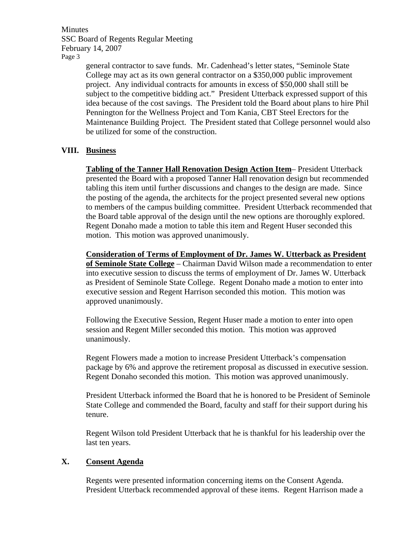Minutes SSC Board of Regents Regular Meeting February 14, 2007 Page 3

> general contractor to save funds. Mr. Cadenhead's letter states, "Seminole State College may act as its own general contractor on a \$350,000 public improvement project. Any individual contracts for amounts in excess of \$50,000 shall still be subject to the competitive bidding act." President Utterback expressed support of this idea because of the cost savings. The President told the Board about plans to hire Phil Pennington for the Wellness Project and Tom Kania, CBT Steel Erectors for the Maintenance Building Project. The President stated that College personnel would also be utilized for some of the construction.

# **VIII. Business**

**Tabling of the Tanner Hall Renovation Design Action Item**– President Utterback presented the Board with a proposed Tanner Hall renovation design but recommended tabling this item until further discussions and changes to the design are made. Since the posting of the agenda, the architects for the project presented several new options to members of the campus building committee. President Utterback recommended that the Board table approval of the design until the new options are thoroughly explored. Regent Donaho made a motion to table this item and Regent Huser seconded this motion. This motion was approved unanimously.

**Consideration of Terms of Employment of Dr. James W. Utterback as President of Seminole State College** – Chairman David Wilson made a recommendation to enter into executive session to discuss the terms of employment of Dr. James W. Utterback as President of Seminole State College. Regent Donaho made a motion to enter into executive session and Regent Harrison seconded this motion. This motion was approved unanimously.

Following the Executive Session, Regent Huser made a motion to enter into open session and Regent Miller seconded this motion. This motion was approved unanimously.

Regent Flowers made a motion to increase President Utterback's compensation package by 6% and approve the retirement proposal as discussed in executive session. Regent Donaho seconded this motion. This motion was approved unanimously.

President Utterback informed the Board that he is honored to be President of Seminole State College and commended the Board, faculty and staff for their support during his tenure.

Regent Wilson told President Utterback that he is thankful for his leadership over the last ten years.

#### **X. Consent Agenda**

Regents were presented information concerning items on the Consent Agenda. President Utterback recommended approval of these items. Regent Harrison made a